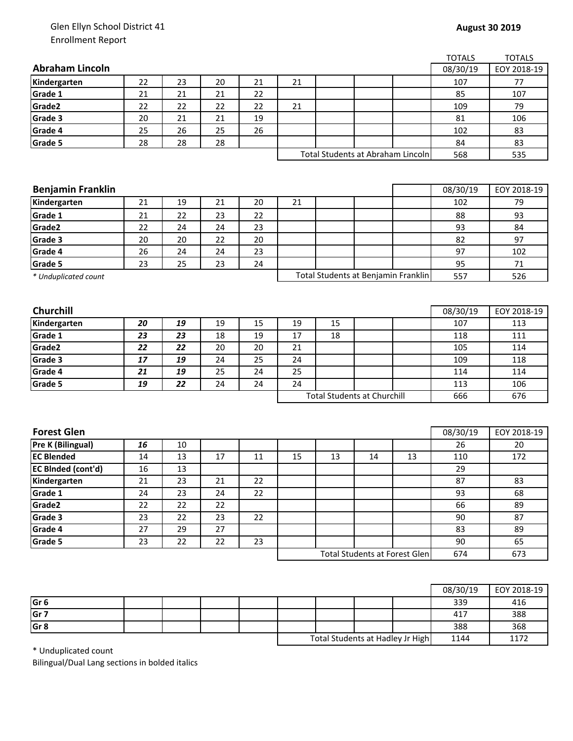## Glen Ellyn School District 41 Enrollment Report

|                           |                                    |    |    |    |    |                                     |     |                                      | <b>TOTALS</b> | <b>TOTALS</b> |
|---------------------------|------------------------------------|----|----|----|----|-------------------------------------|-----|--------------------------------------|---------------|---------------|
| <b>Abraham Lincoln</b>    |                                    |    |    |    |    |                                     |     |                                      | 08/30/19      | EOY 2018-19   |
| Kindergarten              | 22                                 | 23 | 20 | 21 | 21 |                                     |     |                                      | 107           | 77            |
| Grade 1                   | 21                                 | 21 | 21 | 22 |    |                                     |     |                                      | 85            | 107           |
| Grade2                    | 22                                 | 22 | 22 | 22 | 21 |                                     |     |                                      | 109           | 79            |
| Grade 3                   | 20                                 | 21 | 21 | 19 |    |                                     |     |                                      | 81            | 106           |
| Grade 4                   | 25                                 | 26 | 25 | 26 |    |                                     |     |                                      | 102           | 83            |
| Grade 5                   | 28                                 | 28 | 28 |    |    |                                     |     |                                      | 84            | 83            |
|                           |                                    |    |    |    |    |                                     |     | Total Students at Abraham Lincoln    | 568           | 535           |
|                           |                                    |    |    |    |    |                                     |     |                                      |               |               |
|                           |                                    |    |    |    |    |                                     |     |                                      |               |               |
| <b>Benjamin Franklin</b>  |                                    |    |    |    |    |                                     |     |                                      | 08/30/19      | EOY 2018-19   |
| Kindergarten              | 21                                 | 19 | 21 | 20 | 21 |                                     |     |                                      | 102           | 79            |
| Grade 1                   | 21                                 | 22 | 23 | 22 |    |                                     |     |                                      | 88            | 93            |
| Grade2                    | 22                                 | 24 | 24 | 23 |    |                                     |     |                                      | 93            | 84            |
| Grade 3                   | 20                                 | 20 | 22 | 20 |    |                                     |     |                                      | 82            | 97            |
| Grade 4                   | 26                                 | 24 | 24 | 23 |    |                                     |     |                                      | 97            | 102           |
| Grade 5                   | 23                                 | 25 | 23 | 24 |    |                                     |     |                                      | 95            | 71            |
| * Unduplicated count      |                                    |    |    |    |    | Total Students at Benjamin Franklin |     | 557                                  | 526           |               |
|                           |                                    |    |    |    |    |                                     |     |                                      |               |               |
|                           |                                    |    |    |    |    |                                     |     |                                      |               |               |
| <b>Churchill</b>          |                                    |    |    |    |    |                                     |     |                                      | 08/30/19      | EOY 2018-19   |
| Kindergarten              | 20                                 | 19 | 19 | 15 | 19 | 15                                  |     |                                      | 107           | 113           |
| Grade 1                   | 23                                 | 23 | 18 | 19 | 17 | 18                                  |     |                                      | 118           | 111           |
| Grade2                    | 22                                 | 22 | 20 | 20 | 21 |                                     |     |                                      | 105           | 114           |
| Grade 3                   | 17                                 | 19 | 24 | 25 | 24 |                                     |     |                                      | 109           | 118           |
| Grade 4                   | 21                                 | 19 | 25 | 24 | 25 |                                     |     |                                      | 114           | 114           |
| Grade 5                   | 19                                 | 22 | 24 | 24 | 24 |                                     |     |                                      | 113           | 106           |
|                           | <b>Total Students at Churchill</b> |    |    |    |    | 666                                 | 676 |                                      |               |               |
|                           |                                    |    |    |    |    |                                     |     |                                      |               |               |
|                           |                                    |    |    |    |    |                                     |     |                                      |               |               |
| <b>Forest Glen</b>        |                                    |    |    |    |    |                                     |     |                                      | 08/30/19      | EOY 2018-19   |
| Pre K (Bilingual)         | 16                                 | 10 |    |    |    |                                     |     |                                      | 26            | 20            |
| <b>EC Blended</b>         | 14                                 | 13 | 17 | 11 | 15 | 13                                  | 14  | 13                                   | 110           | 172           |
| <b>EC BInded (cont'd)</b> | 16                                 | 13 |    |    |    |                                     |     |                                      | 29            |               |
| Kindergarten              | 21                                 | 23 | 21 | 22 |    |                                     |     |                                      | 87            | 83            |
| Grade 1                   | 24                                 | 23 | 24 | 22 |    |                                     |     |                                      | 93            | 68            |
| Grade2                    | 22                                 | 22 | 22 |    |    |                                     |     |                                      | 66            | 89            |
| Grade 3                   | 23                                 | 22 | 23 | 22 |    |                                     |     |                                      | 90            | 87            |
| Grade 4                   | 27                                 | 29 | 27 |    |    |                                     |     |                                      | 83            | 89            |
| Grade 5                   | 23                                 | 22 | 22 | 23 |    |                                     |     |                                      | 90            | 65            |
|                           |                                    |    |    |    |    |                                     |     | <b>Total Students at Forest Glen</b> | 674           | 673           |
|                           |                                    |    |    |    |    |                                     |     |                                      |               |               |

|                 |  |  |                                  |  |      | 08/30/19 | EOY 2018-19 |
|-----------------|--|--|----------------------------------|--|------|----------|-------------|
| Gr <sub>6</sub> |  |  |                                  |  |      | 339      | 416         |
| Gr 7            |  |  |                                  |  |      | 417      | 388         |
| Gr <sub>8</sub> |  |  |                                  |  |      | 388      | 368         |
|                 |  |  | Total Students at Hadley Jr High |  | 1144 | 1172     |             |

\* Unduplicated count

Bilingual/Dual Lang sections in bolded italics